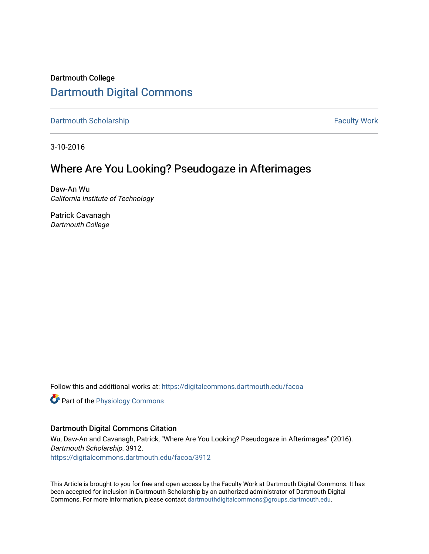# Dartmouth College [Dartmouth Digital Commons](https://digitalcommons.dartmouth.edu/)

[Dartmouth Scholarship](https://digitalcommons.dartmouth.edu/facoa) Faculty Work

3-10-2016

# Where Are You Looking? Pseudogaze in Afterimages

Daw-An Wu California Institute of Technology

Patrick Cavanagh Dartmouth College

Follow this and additional works at: [https://digitalcommons.dartmouth.edu/facoa](https://digitalcommons.dartmouth.edu/facoa?utm_source=digitalcommons.dartmouth.edu%2Ffacoa%2F3912&utm_medium=PDF&utm_campaign=PDFCoverPages)

**Part of the [Physiology Commons](http://network.bepress.com/hgg/discipline/69?utm_source=digitalcommons.dartmouth.edu%2Ffacoa%2F3912&utm_medium=PDF&utm_campaign=PDFCoverPages)** 

### Dartmouth Digital Commons Citation

Wu, Daw-An and Cavanagh, Patrick, "Where Are You Looking? Pseudogaze in Afterimages" (2016). Dartmouth Scholarship. 3912. [https://digitalcommons.dartmouth.edu/facoa/3912](https://digitalcommons.dartmouth.edu/facoa/3912?utm_source=digitalcommons.dartmouth.edu%2Ffacoa%2F3912&utm_medium=PDF&utm_campaign=PDFCoverPages) 

This Article is brought to you for free and open access by the Faculty Work at Dartmouth Digital Commons. It has been accepted for inclusion in Dartmouth Scholarship by an authorized administrator of Dartmouth Digital Commons. For more information, please contact [dartmouthdigitalcommons@groups.dartmouth.edu](mailto:dartmouthdigitalcommons@groups.dartmouth.edu).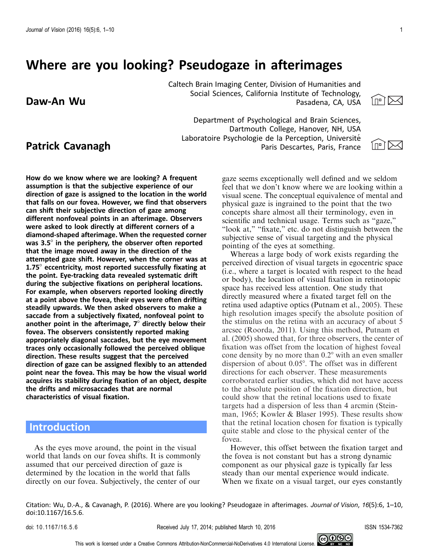# <span id="page-1-0"></span>Where are you looking? Pseudogaze in afterimages

Social Sciences, California Institute of Technology,<br>Pasadena, CA, USA Caltech Brain Imaging Center, Division of Humanities and Pasadena, CA, USA

**Patrick Cavanagh**  $\frac{1}{2}$  **Patrick Cavanagh**  $\frac{1}{2}$ Department of Psychological and Brain Sciences, Dartmouth College, Hanover, NH, USA Laboratoire Psychologie de la Perception, Université Paris Descartes, Paris, France



How do we know where we are looking? A frequent assumption is that the subjective experience of our direction of gaze is assigned to the location in the world that falls on our fovea. However, we find that observers can shift their subjective direction of gaze among different nonfoveal points in an afterimage. Observers were asked to look directly at different corners of a diamond-shaped afterimage. When the requested corner was 3.5 $^{\circ}$  in the periphery, the observer often reported that the image moved away in the direction of the attempted gaze shift. However, when the corner was at  $1.75^{\circ}$  eccentricity, most reported successfully fixating at the point. Eye-tracking data revealed systematic drift during the subjective fixations on peripheral locations. For example, when observers reported looking directly at a point above the fovea, their eyes were often drifting steadily upwards. We then asked observers to make a saccade from a subjectively fixated, nonfoveal point to another point in the afterimage,  $7^\circ$  directly below their fovea. The observers consistently reported making appropriately diagonal saccades, but the eye movement traces only occasionally followed the perceived oblique direction. These results suggest that the perceived direction of gaze can be assigned flexibly to an attended point near the fovea. This may be how the visual world acquires its stability during fixation of an object, despite the drifts and microsaccades that are normal characteristics of visual fixation.

# Introduction

As the eyes move around, the point in the visual world that lands on our fovea shifts. It is commonly assumed that our perceived direction of gaze is determined by the location in the world that falls directly on our fovea. Subjectively, the center of our

gaze seems exceptionally well defined and we seldom feel that we don't know where we are looking within a visual scene. The conceptual equivalence of mental and physical gaze is ingrained to the point that the two concepts share almost all their terminology, even in scientific and technical usage. Terms such as ''gaze,'' "look at," "fixate," etc. do not distinguish between the subjective sense of visual targeting and the physical pointing of the eyes at something.

Whereas a large body of work exists regarding the perceived direction of visual targets in egocentric space (i.e., where a target is located with respect to the head or body), the location of visual fixation in retinotopic space has received less attention. One study that directly measured where a fixated target fell on the retina used adaptive optics (Putnam et al., [2005](#page-10-0)). These high resolution images specify the absolute position of the stimulus on the retina with an accuracy of about 5 arcsec (Roorda, [2011](#page-10-0)). Using this method, Putnam et al. ([2005\)](#page-10-0) showed that, for three observers, the center of fixation was offset from the location of highest foveal cone density by no more than  $0.2^{\circ}$  with an even smaller dispersion of about  $0.05^{\circ}$ . The offset was in different directions for each observer. These measurements corroborated earlier studies, which did not have access to the absolute position of the fixation direction, but could show that the retinal locations used to fixate targets had a dispersion of less than 4 arcmin (Steinman, [1965;](#page-10-0) Kowler & Blaser [1995\)](#page-10-0). These results show that the retinal location chosen for fixation is typically quite stable and close to the physical center of the fovea.

However, this offset between the fixation target and the fovea is not constant but has a strong dynamic component as our physical gaze is typically far less steady than our mental experience would indicate. When we fixate on a visual target, our eyes constantly

Citation: Wu, D.-A., & Cavanagh, P. (2016). Where are you looking? Pseudogaze in afterimages. Journal of Vision, 16(5):6, 1–10, doi:10.1167/16.5.6.

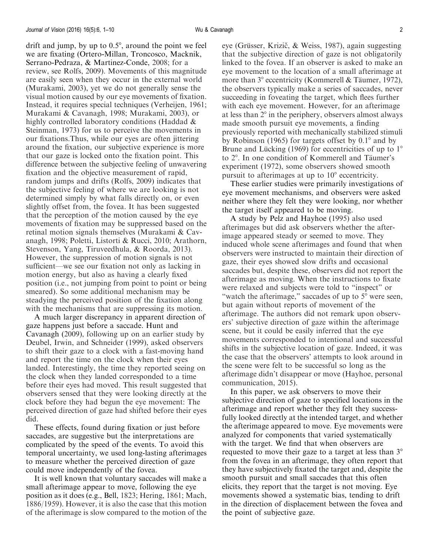drift and jump, by up to  $0.5^{\circ}$ , around the point we feel we are fixating (Ortero-Millan, Troncosco, Macknik, Serrano-Pedraza, & Martinez-Conde, [2008](#page-10-0); for a review, see Rolfs, [2009](#page-10-0)). Movements of this magnitude are easily seen when they occur in the external world (Murakami, [2003](#page-10-0)), yet we do not generally sense the visual motion caused by our eye movements of fixation. Instead, it requires special techniques (Verheijen, [1961](#page-10-0); Murakami & Cavanagh, [1998;](#page-10-0) Murakami, [2003\)](#page-10-0), or highly controlled laboratory conditions (Haddad & Steinman, [1973\)](#page-10-0) for us to perceive the movements in our fixations.Thus, while our eyes are often jittering around the fixation, our subjective experience is more that our gaze is locked onto the fixation point. This difference between the subjective feeling of unwavering fixation and the objective measurement of rapid, random jumps and drifts (Rolfs, [2009](#page-10-0)) indicates that the subjective feeling of where we are looking is not determined simply by what falls directly on, or even slightly offset from, the fovea. It has been suggested that the perception of the motion caused by the eye movements of fixation may be suppressed based on the retinal motion signals themselves (Murakami & Cavanagh, [1998;](#page-10-0) Poletti, Listorti & Rucci, [2010;](#page-10-0) Arathorn, Stevenson, Yang, Tiruveedhula, & Roorda, [2013](#page-9-0)). However, the suppression of motion signals is not sufficient—we see our fixation not only as lacking in motion energy, but also as having a clearly fixed position (i.e., not jumping from point to point or being smeared). So some additional mechanism may be steadying the perceived position of the fixation along with the mechanisms that are suppressing its motion.

A much larger discrepancy in apparent direction of gaze happens just before a saccade. Hunt and Cavanagh ([2009](#page-10-0)), following up on an earlier study by Deubel, Irwin, and Schneider [\(1999](#page-9-0)), asked observers to shift their gaze to a clock with a fast-moving hand and report the time on the clock when their eyes landed. Interestingly, the time they reported seeing on the clock when they landed corresponded to a time before their eyes had moved. This result suggested that observers sensed that they were looking directly at the clock before they had begun the eye movement: The perceived direction of gaze had shifted before their eyes did.

These effects, found during fixation or just before saccades, are suggestive but the interpretations are complicated by the speed of the events. To avoid this temporal uncertainty, we used long-lasting afterimages to measure whether the perceived direction of gaze could move independently of the fovea.

It is well known that voluntary saccades will make a small afterimage appear to move, following the eye position as it does (e.g., Bell, [1823;](#page-9-0) Hering, [1861](#page-10-0); Mach, [1886/1959](#page-10-0)). However, it is also the case that this motion of the afterimage is slow compared to the motion of the eye (Grüsser, Krizič, & Weiss, [1987](#page-10-0)), again suggesting that the subjective direction of gaze is not obligatorily linked to the fovea. If an observer is asked to make an eye movement to the location of a small afterimage at more than  $3^\circ$  eccentricity (Kommerell & Täumer, [1972](#page-10-0)), the observers typically make a series of saccades, never succeeding in foveating the target, which flees further with each eye movement. However, for an afterimage at less than  $2^\circ$  in the periphery, observers almost always made smooth pursuit eye movements, a finding previously reported with mechanically stabilized stimuli by Robinson [\(1965](#page-10-0)) for targets offset by  $0.1^{\circ}$  and by Brune and Lücking ([1969\)](#page-9-0) for eccentricities of up to  $1^{\circ}$ to 2°. In one condition of Kommerell and Täumer's experiment (1972), some observers showed smooth pursuit to afterimages at up to  $10^{\circ}$  eccentricity.

These earlier studies were primarily investigations of eye movement mechanisms, and observers were asked neither where they felt they were looking, nor whether the target itself appeared to be moving.

A study by Pelz and Hayhoe [\(1995](#page-10-0)) also used afterimages but did ask observers whether the afterimage appeared steady or seemed to move. They induced whole scene afterimages and found that when observers were instructed to maintain their direction of gaze, their eyes showed slow drifts and occasional saccades but, despite these, observers did not report the afterimage as moving. When the instructions to fixate were relaxed and subjects were told to ''inspect'' or "watch the afterimage," saccades of up to  $5^\circ$  were seen, but again without reports of movement of the afterimage. The authors did not remark upon observers' subjective direction of gaze within the afterimage scene, but it could be easily inferred that the eye movements corresponded to intentional and successful shifts in the subjective location of gaze. Indeed, it was the case that the observers' attempts to look around in the scene were felt to be successful so long as the afterimage didn't disappear or move (Hayhoe, personal communication, 2015).

In this paper, we ask observers to move their subjective direction of gaze to specified locations in the afterimage and report whether they felt they successfully looked directly at the intended target, and whether the afterimage appeared to move. Eye movements were analyzed for components that varied systematically with the target. We find that when observers are requested to move their gaze to a target at less than  $3^\circ$ from the fovea in an afterimage, they often report that they have subjectively fixated the target and, despite the smooth pursuit and small saccades that this often elicits, they report that the target is not moving. Eye movements showed a systematic bias, tending to drift in the direction of displacement between the fovea and the point of subjective gaze.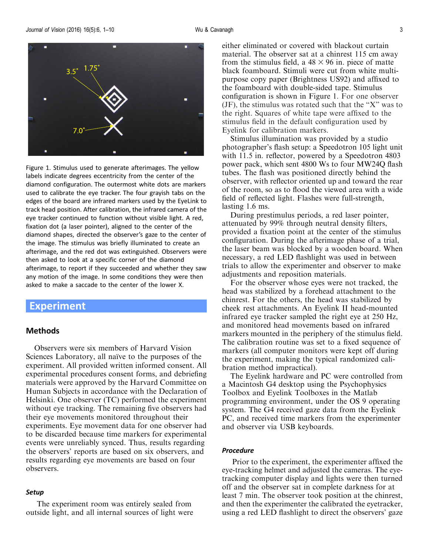

Figure 1. Stimulus used to generate afterimages. The yellow labels indicate degrees eccentricity from the center of the diamond configuration. The outermost white dots are markers used to calibrate the eye tracker. The four grayish tabs on the edges of the board are infrared markers used by the EyeLink to track head position. After calibration, the infrared camera of the eye tracker continued to function without visible light. A red, fixation dot (a laser pointer), aligned to the center of the diamond shapes, directed the observer's gaze to the center of the image. The stimulus was briefly illuminated to create an afterimage, and the red dot was extinguished. Observers were then asked to look at a specific corner of the diamond afterimage, to report if they succeeded and whether they saw any motion of the image. In some conditions they were then asked to make a saccade to the center of the lower X.

# **Experiment**

#### Methods

Observers were six members of Harvard Vision Sciences Laboratory, all naïve to the purposes of the experiment. All provided written informed consent. All experimental procedures consent forms, and debriefing materials were approved by the Harvard Committee on Human Subjects in accordance with the Declaration of Helsinki. One observer (TC) performed the experiment without eye tracking. The remaining five observers had their eye movements monitored throughout their experiments. Eye movement data for one observer had to be discarded because time markers for experimental events were unreliably synced. Thus, results regarding the observers' reports are based on six observers, and results regarding eye movements are based on four observers.

#### Setup

The experiment room was entirely sealed from outside light, and all internal sources of light were either eliminated or covered with blackout curtain material. The observer sat at a chinrest 115 cm away from the stimulus field, a  $48 \times 96$  in. piece of matte black foamboard. Stimuli were cut from white multipurpose copy paper (Brightness US92) and affixed to the foamboard with double-sided tape. Stimulus configuration is shown in Figure 1. For one observer (JF), the stimulus was rotated such that the ''X'' was to the right. Squares of white tape were affixed to the stimulus field in the default configuration used by Eyelink for calibration markers.

Stimulus illumination was provided by a studio photographer's flash setup: a Speedotron 105 light unit with 11.5 in. reflector, powered by a Speedotron 4803 power pack, which sent 4800 Ws to four MW24Q flash tubes. The flash was positioned directly behind the observer, with reflector oriented up and toward the rear of the room, so as to flood the viewed area with a wide field of reflected light. Flashes were full-strength, lasting 1.6 ms.

During prestimulus periods, a red laser pointer, attenuated by 99% through neutral density filters, provided a fixation point at the center of the stimulus configuration. During the afterimage phase of a trial, the laser beam was blocked by a wooden board. When necessary, a red LED flashlight was used in between trials to allow the experimenter and observer to make adjustments and reposition materials.

For the observer whose eyes were not tracked, the head was stabilized by a forehead attachment to the chinrest. For the others, the head was stabilized by cheek rest attachments. An Eyelink II head-mounted infrared eye tracker sampled the right eye at 250 Hz, and monitored head movements based on infrared markers mounted in the periphery of the stimulus field. The calibration routine was set to a fixed sequence of markers (all computer monitors were kept off during the experiment, making the typical randomized calibration method impractical).

The Eyelink hardware and PC were controlled from a Macintosh G4 desktop using the Psychophysics Toolbox and Eyelink Toolboxes in the Matlab programming environment, under the OS 9 operating system. The G4 received gaze data from the Eyelink PC, and received time markers from the experimenter and observer via USB keyboards.

#### Procedure

Prior to the experiment, the experimenter affixed the eye-tracking helmet and adjusted the cameras. The eyetracking computer display and lights were then turned off and the observer sat in complete darkness for at least 7 min. The observer took position at the chinrest, and then the experimenter the calibrated the eyetracker, using a red LED flashlight to direct the observers' gaze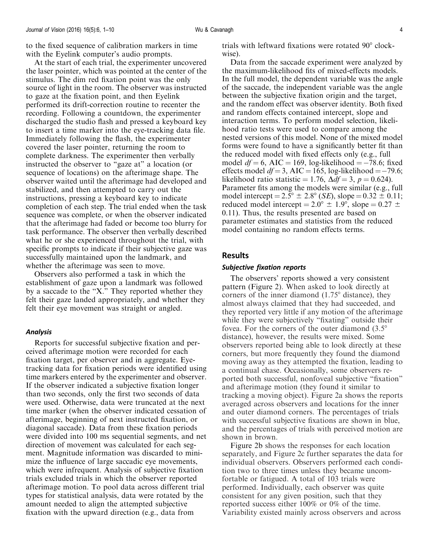At the start of each trial, the experimenter uncovered the laser pointer, which was pointed at the center of the stimulus. The dim red fixation point was the only source of light in the room. The observer was instructed to gaze at the fixation point, and then Eyelink performed its drift-correction routine to recenter the recording. Following a countdown, the experimenter discharged the studio flash and pressed a keyboard key to insert a time marker into the eye-tracking data file. Immediately following the flash, the experimenter covered the laser pointer, returning the room to complete darkness. The experimenter then verbally instructed the observer to "gaze at" a location (or sequence of locations) on the afterimage shape. The observer waited until the afterimage had developed and stabilized, and then attempted to carry out the instructions, pressing a keyboard key to indicate completion of each step. The trial ended when the task sequence was complete, or when the observer indicated that the afterimage had faded or become too blurry for task performance. The observer then verbally described what he or she experienced throughout the trial, with specific prompts to indicate if their subjective gaze was successfully maintained upon the landmark, and whether the afterimage was seen to move.

Observers also performed a task in which the establishment of gaze upon a landmark was followed by a saccade to the ''X.'' They reported whether they felt their gaze landed appropriately, and whether they felt their eye movement was straight or angled.

#### Analysis

Reports for successful subjective fixation and perceived afterimage motion were recorded for each fixation target, per observer and in aggregate. Eyetracking data for fixation periods were identified using time markers entered by the experimenter and observer. If the observer indicated a subjective fixation longer than two seconds, only the first two seconds of data were used. Otherwise, data were truncated at the next time marker (when the observer indicated cessation of afterimage, beginning of next instructed fixation, or diagonal saccade). Data from these fixation periods were divided into 100 ms sequential segments, and net direction of movement was calculated for each segment. Magnitude information was discarded to minimize the influence of large saccadic eye movements, which were infrequent. Analysis of subjective fixation trials excluded trials in which the observer reported afterimage motion. To pool data across different trial types for statistical analysis, data were rotated by the amount needed to align the attempted subjective fixation with the upward direction (e.g., data from

trials with leftward fixations were rotated 90 $^{\circ}$  clockwise).

Data from the saccade experiment were analyzed by the maximum-likelihood fits of mixed-effects models. In the full model, the dependent variable was the angle of the saccade, the independent variable was the angle between the subjective fixation origin and the target, and the random effect was observer identity. Both fixed and random effects contained intercept, slope and interaction terms. To perform model selection, likelihood ratio tests were used to compare among the nested versions of this model. None of the mixed model forms were found to have a significantly better fit than the reduced model with fixed effects only (e.g., full model  $df = 6$ , AIC = 169, log-likelihood =  $-78.6$ ; fixed effects model  $df = 3$ , AIC = 165, log-likelihood = -79.6; likelihood ratio statistic = 1.76,  $\Delta df = 3$ , p = 0.624). Parameter fits among the models were similar (e.g., full model intercept =  $2.5^{\circ} \pm 2.8^{\circ}$  (*SE*), slope =  $0.32 \pm 0.11$ ; reduced model intercept =  $2.0^{\circ} \pm 1.9^{\circ}$ , slope =  $0.27 \pm 1.9^{\circ}$ 0.11). Thus, the results presented are based on parameter estimates and statistics from the reduced model containing no random effects terms.

#### Results

#### Subjective fixation reports

The observers' reports showed a very consistent pattern [\(Figure 2](#page-5-0)). When asked to look directly at corners of the inner diamond  $(1.75^{\circ}$  distance), they almost always claimed that they had succeeded, and they reported very little if any motion of the afterimage while they were subjectively "fixating" outside their fovea. For the corners of the outer diamond  $(3.5^{\circ})$ distance), however, the results were mixed. Some observers reported being able to look directly at these corners, but more frequently they found the diamond moving away as they attempted the fixation, leading to a continual chase. Occasionally, some observers reported both successful, nonfoveal subjective ''fixation'' and afterimage motion (they found it similar to tracking a moving object). [Figure 2a](#page-5-0) shows the reports averaged across observers and locations for the inner and outer diamond corners. The percentages of trials with successful subjective fixations are shown in blue, and the percentages of trials with perceived motion are shown in brown.

[Figure 2b](#page-5-0) shows the responses for each location separately, and [Figure 2c](#page-5-0) further separates the data for individual observers. Observers performed each condition two to three times unless they became uncomfortable or fatigued. A total of 103 trials were performed. Individually, each observer was quite consistent for any given position, such that they reported success either 100% or 0% of the time. Variability existed mainly across observers and across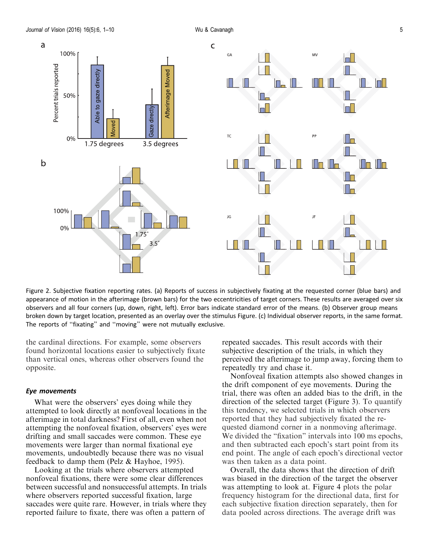<span id="page-5-0"></span>

Figure 2. Subjective fixation reporting rates. (a) Reports of success in subjectively fixating at the requested corner (blue bars) and appearance of motion in the afterimage (brown bars) for the two eccentricities of target corners. These results are averaged over six observers and all four corners (up, down, right, left). Error bars indicate standard error of the means. (b) Observer group means broken down by target location, presented as an overlay over the stimulus Figure. (c) Individual observer reports, in the same format. The reports of ''fixating'' and ''moving'' were not mutually exclusive.

the cardinal directions. For example, some observers found horizontal locations easier to subjectively fixate than vertical ones, whereas other observers found the opposite.

#### Eye movements

What were the observers' eyes doing while they attempted to look directly at nonfoveal locations in the afterimage in total darkness? First of all, even when not attempting the nonfoveal fixation, observers' eyes were drifting and small saccades were common. These eye movements were larger than normal fixational eye movements, undoubtedly because there was no visual feedback to damp them (Pelz & Hayhoe, [1995\)](#page-10-0).

Looking at the trials where observers attempted nonfoveal fixations, there were some clear differences between successful and nonsuccessful attempts. In trials where observers reported successful fixation, large saccades were quite rare. However, in trials where they reported failure to fixate, there was often a pattern of

repeated saccades. This result accords with their subjective description of the trials, in which they perceived the afterimage to jump away, forcing them to repeatedly try and chase it.

Nonfoveal fixation attempts also showed changes in the drift component of eye movements. During the trial, there was often an added bias to the drift, in the direction of the selected target ([Figure 3\)](#page-6-0). To quantify this tendency, we selected trials in which observers reported that they had subjectively fixated the requested diamond corner in a nonmoving afterimage. We divided the "fixation" intervals into 100 ms epochs, and then subtracted each epoch's start point from its end point. The angle of each epoch's directional vector was then taken as a data point.

Overall, the data shows that the direction of drift was biased in the direction of the target the observer was attempting to look at. [Figure 4](#page-7-0) plots the polar frequency histogram for the directional data, first for each subjective fixation direction separately, then for data pooled across directions. The average drift was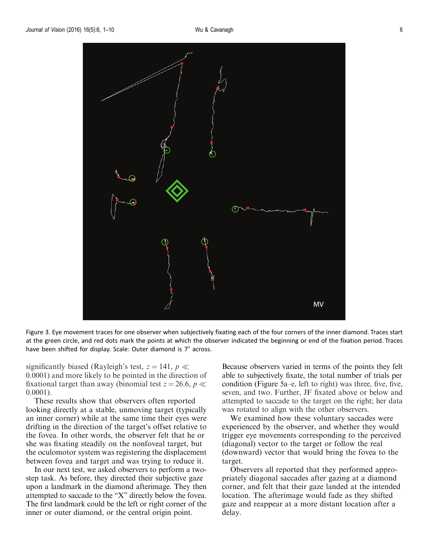<span id="page-6-0"></span>

Figure 3. Eye movement traces for one observer when subjectively fixating each of the four corners of the inner diamond. Traces start at the green circle, and red dots mark the points at which the observer indicated the beginning or end of the fixation period. Traces have been shifted for display. Scale: Outer diamond is  $7^\circ$  across.

significantly biased (Rayleigh's test,  $z = 141$ ,  $p \ll$ 0.0001) and more likely to be pointed in the direction of fixational target than away (binomial test  $z = 26.6$ ,  $p \ll$ 0.0001).

These results show that observers often reported looking directly at a stable, unmoving target (typically an inner corner) while at the same time their eyes were drifting in the direction of the target's offset relative to the fovea. In other words, the observer felt that he or she was fixating steadily on the nonfoveal target, but the oculomotor system was registering the displacement between fovea and target and was trying to reduce it.

In our next test, we asked observers to perform a twostep task. As before, they directed their subjective gaze upon a landmark in the diamond afterimage. They then attempted to saccade to the ''X'' directly below the fovea. The first landmark could be the left or right corner of the inner or outer diamond, or the central origin point.

Because observers varied in terms of the points they felt able to subjectively fixate, the total number of trials per condition ([Figure 5a–e](#page-7-0), left to right) was three, five, five, seven, and two. Further, JF fixated above or below and attempted to saccade to the target on the right; her data was rotated to align with the other observers.

We examined how these voluntary saccades were experienced by the observer, and whether they would trigger eye movements corresponding to the perceived (diagonal) vector to the target or follow the real (downward) vector that would bring the fovea to the target.

Observers all reported that they performed appropriately diagonal saccades after gazing at a diamond corner, and felt that their gaze landed at the intended location. The afterimage would fade as they shifted gaze and reappear at a more distant location after a delay.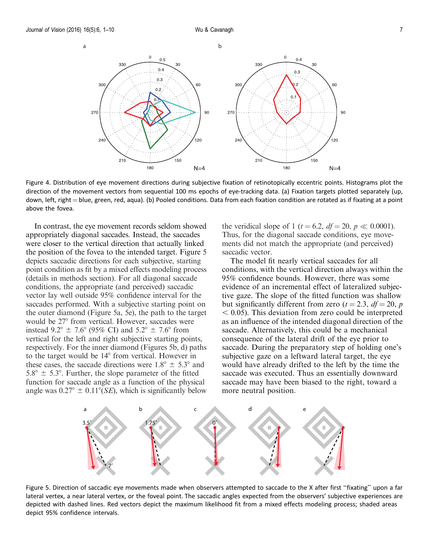<span id="page-7-0"></span>

Figure 4. Distribution of eye movement directions during subjective fixation of retinotopically eccentric points. Histograms plot the direction of the movement vectors from sequential 100 ms epochs of eye-tracking data. (a) Fixation targets plotted separately (up, down, left, right = blue, green, red, aqua). (b) Pooled conditions. Data from each fixation condition are rotated as if fixating at a point above the fovea.

In contrast, the eye movement records seldom showed appropriately diagonal saccades. Instead, the saccades were closer to the vertical direction that actually linked the position of the fovea to the intended target. Figure 5 depicts saccadic directions for each subjective, starting point condition as fit by a mixed effects modeling process (details in methods section). For all diagonal saccade conditions, the appropriate (and perceived) saccadic vector lay well outside 95% confidence interval for the saccades performed. With a subjective starting point on the outer diamond (Figure 5a, 5e), the path to the target would be 27° from vertical. However, saccades were instead  $9.2^{\circ} \pm 7.6^{\circ}$  (95% CI) and  $5.2^{\circ} \pm 7.6^{\circ}$  from vertical for the left and right subjective starting points, respectively. For the inner diamond (Figures 5b, d) paths to the target would be  $14^{\circ}$  from vertical. However in these cases, the saccade directions were  $1.8^{\circ} \pm 5.3^{\circ}$  and  $5.8^{\circ} \pm 5.3^{\circ}$ . Further, the slope parameter of the fitted function for saccade angle as a function of the physical angle was  $0.27^{\circ} \pm 0.11^{\circ}$  (*SE*), which is significantly below

the veridical slope of 1 ( $t = 6.2$ ,  $df = 20$ ,  $p \ll 0.0001$ ). Thus, for the diagonal saccade conditions, eye movements did not match the appropriate (and perceived) saccadic vector.

The model fit nearly vertical saccades for all conditions, with the vertical direction always within the 95% confidence bounds. However, there was some evidence of an incremental effect of lateralized subjective gaze. The slope of the fitted function was shallow but significantly different from zero ( $t = 2.3$ ,  $df = 20$ , p  $< 0.05$ ). This deviation from zero could be interpreted as an influence of the intended diagonal direction of the saccade. Alternatively, this could be a mechanical consequence of the lateral drift of the eye prior to saccade. During the preparatory step of holding one's subjective gaze on a leftward lateral target, the eye would have already drifted to the left by the time the saccade was executed. Thus an essentially downward saccade may have been biased to the right, toward a more neutral position.



Figure 5. Direction of saccadic eye movements made when observers attempted to saccade to the X after first ''fixating'' upon a far lateral vertex, a near lateral vertex, or the foveal point. The saccadic angles expected from the observers' subjective experiences are depicted with dashed lines. Red vectors depict the maximum likelihood fit from a mixed effects modeling process; shaded areas depict 95% confidence intervals.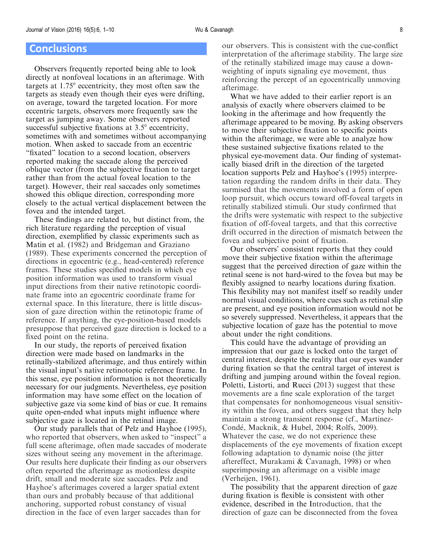# **Conclusions**

Observers frequently reported being able to look directly at nonfoveal locations in an afterimage. With targets at  $1.75^{\circ}$  eccentricity, they most often saw the targets as steady even though their eyes were drifting, on average, toward the targeted location. For more eccentric targets, observers more frequently saw the target as jumping away. Some observers reported successful subjective fixations at  $3.5^{\circ}$  eccentricity, sometimes with and sometimes without accompanying motion. When asked to saccade from an eccentric ''fixated'' location to a second location, observers reported making the saccade along the perceived oblique vector (from the subjective fixation to target rather than from the actual foveal location to the target). However, their real saccades only sometimes showed this oblique direction, corresponding more closely to the actual vertical displacement between the fovea and the intended target.

These findings are related to, but distinct from, the rich literature regarding the perception of visual direction, exemplified by classic experiments such as Matin et al. [\(1982](#page-10-0)) and Bridgeman and Graziano ([1989\)](#page-9-0). These experiments concerned the perception of directions in egocentric (e.g., head-centered) reference frames. These studies specified models in which eye position information was used to transform visual input directions from their native retinotopic coordinate frame into an egocentric coordinate frame for external space. In this literature, there is little discussion of gaze direction within the retinotopic frame of reference. If anything, the eye-position-based models presuppose that perceived gaze direction is locked to a fixed point on the retina.

In our study, the reports of perceived fixation direction were made based on landmarks in the retinally-stabilized afterimage, and thus entirely within the visual input's native retinotopic reference frame. In this sense, eye position information is not theoretically necessary for our judgments. Nevertheless, eye position information may have some effect on the location of subjective gaze via some kind of bias or cue. It remains quite open-ended what inputs might influence where subjective gaze is located in the retinal image.

Our study parallels that of Pelz and Hayhoe ([1995](#page-10-0)), who reported that observers, when asked to "inspect" a full scene afterimage, often made saccades of moderate sizes without seeing any movement in the afterimage. Our results here duplicate their finding as our observers often reported the afterimage as motionless despite drift, small and moderate size saccades. Pelz and Hayhoe's afterimages covered a larger spatial extent than ours and probably because of that additional anchoring, supported robust constancy of visual direction in the face of even larger saccades than for

our observers. This is consistent with the cue-conflict interpretation of the afterimage stability. The large size of the retinally stabilized image may cause a downweighting of inputs signaling eye movement, thus reinforcing the percept of an egocentrically unmoving afterimage.

What we have added to their earlier report is an analysis of exactly where observers claimed to be looking in the afterimage and how frequently the afterimage appeared to be moving. By asking observers to move their subjective fixation to specific points within the afterimage, we were able to analyze how these sustained subjective fixations related to the physical eye-movement data. Our finding of systematically biased drift in the direction of the targeted location supports Pelz and Hayhoe's [\(1995\)](#page-10-0) interpretation regarding the random drifts in their data. They surmised that the movements involved a form of open loop pursuit, which occurs toward off-foveal targets in retinally stabilized stimuli. Our study confirmed that the drifts were systematic with respect to the subjective fixation of off-foveal targets, and that this corrective drift occurred in the direction of mismatch between the fovea and subjective point of fixation.

Our observers' consistent reports that they could move their subjective fixation within the afterimage suggest that the perceived direction of gaze within the retinal scene is not hard-wired to the fovea but may be flexibly assigned to nearby locations during fixation. This flexibility may not manifest itself so readily under normal visual conditions, where cues such as retinal slip are present, and eye position information would not be so severely suppressed. Nevertheless, it appears that the subjective location of gaze has the potential to move about under the right conditions.

This could have the advantage of providing an impression that our gaze is locked onto the target of central interest, despite the reality that our eyes wander during fixation so that the central target of interest is drifting and jumping around within the foveal region. Poletti, Listorti, and Rucci [\(2013](#page-10-0)) suggest that these movements are a fine scale exploration of the target that compensates for nonhomogeneous visual sensitivity within the fovea, and others suggest that they help maintain a strong transient response (cf., Martinez-Condé, Macknik, & Hubel, [2004;](#page-10-0) Rolfs, [2009](#page-10-0)). Whatever the case, we do not experience these displacements of the eye movements of fixation except following adaptation to dynamic noise (the jitter aftereffect, Murakami & Cavanagh, [1998](#page-10-0)) or when superimposing an afterimage on a visible image (Verheijen, [1961\)](#page-10-0).

The possibility that the apparent direction of gaze during fixation is flexible is consistent with other evidence, described in the [Introduction](#page-1-0), that the direction of gaze can be disconnected from the fovea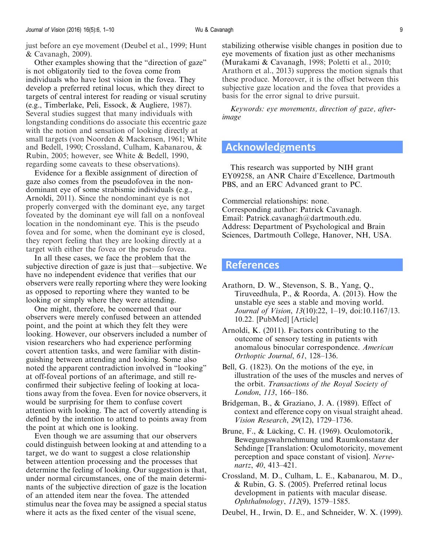<span id="page-9-0"></span>just before an eye movement (Deubel et al., 1999; Hunt & Cavanagh, [2009\)](#page-10-0).

Other examples showing that the ''direction of gaze'' is not obligatorily tied to the fovea come from individuals who have lost vision in the fovea. They develop a preferred retinal locus, which they direct to targets of central interest for reading or visual scrutiny (e.g., Timberlake, Peli, Essock, & Augliere, [1987](#page-10-0)). Several studies suggest that many individuals with longstanding conditions do associate this eccentric gaze with the notion and sensation of looking directly at small targets (von Noorden & Mackensen, [1961;](#page-10-0) White and Bedell, [1990;](#page-10-0) Crossland, Culham, Kabanarou, & Rubin, 2005; however, see White & Bedell, [1990](#page-10-0), regarding some caveats to these observations).

Evidence for a flexible assignment of direction of gaze also comes from the pseudofovea in the nondominant eye of some strabismic individuals (e.g., Arnoldi, 2011). Since the nondominant eye is not properly converged with the dominant eye, any target foveated by the dominant eye will fall on a nonfoveal location in the nondominant eye. This is the pseudo fovea and for some, when the dominant eye is closed, they report feeling that they are looking directly at a target with either the fovea or the pseudo fovea.

In all these cases, we face the problem that the subjective direction of gaze is just that—subjective. We have no independent evidence that verifies that our observers were really reporting where they were looking as opposed to reporting where they wanted to be looking or simply where they were attending.

One might, therefore, be concerned that our observers were merely confused between an attended point, and the point at which they felt they were looking. However, our observers included a number of vision researchers who had experience performing covert attention tasks, and were familiar with distinguishing between attending and looking. Some also noted the apparent contradiction involved in ''looking'' at off-foveal portions of an afterimage, and still reconfirmed their subjective feeling of looking at locations away from the fovea. Even for novice observers, it would be surprising for them to confuse covert attention with looking. The act of covertly attending is defined by the intention to attend to points away from the point at which one is looking.

Even though we are assuming that our observers could distinguish between looking at and attending to a target, we do want to suggest a close relationship between attention processing and the processes that determine the feeling of looking. Our suggestion is that, under normal circumstances, one of the main determinants of the subjective direction of gaze is the location of an attended item near the fovea. The attended stimulus near the fovea may be assigned a special status where it acts as the fixed center of the visual scene,

stabilizing otherwise visible changes in position due to eye movements of fixation just as other mechanisms (Murakami & Cavanagh, [1998](#page-10-0); Poletti et al., [2010](#page-10-0); Arathorn et al., 2013) suppress the motion signals that these produce. Moreover, it is the offset between this subjective gaze location and the fovea that provides a basis for the error signal to drive pursuit.

Keywords: eye movements, direction of gaze, afterimage

# Acknowledgments

This research was supported by NIH grant EY09258, an ANR Chaire d'Excellence, Dartmouth PBS, and an ERC Advanced grant to PC.

Commercial relationships: none. Corresponding author: Patrick Cavanagh. Email: Patrick.cavanagh@dartmouth.edu. Address: Department of Psychological and Brain Sciences, Dartmouth College, Hanover, NH, USA.

# References

- Arathorn, D. W., Stevenson, S. B., Yang, Q., Tiruveedhula, P., & Roorda, A. (2013). How the unstable eye sees a stable and moving world. Journal of Vision, 13(10):22, 1–19, doi:10.1167/13. 10.22. [\[PubMed\]](http://www.ncbi.nlm.nih.gov/pubmed/23988388) [\[Article](http://jov.arvojournals.org/article.aspx?articleid=2121320)]
- Arnoldi, K. (2011). Factors contributing to the outcome of sensory testing in patients with anomalous binocular correspondence. American Orthoptic Journal, 61, 128–136.
- Bell, G. (1823). On the motions of the eye, in illustration of the uses of the muscles and nerves of the orbit. Transactions of the Royal Society of London, 113, 166–186.
- Bridgeman, B., & Graziano, J. A. (1989). Effect of context and efference copy on visual straight ahead. Vision Research, 29(12), 1729–1736.
- Brune, F., & Lücking, C. H. (1969). Oculomotorik, Bewegungswahrnehmung und Raumkonstanz der Sehdinge [Translation: Oculomotoricity, movement perception and space constant of vision]. Nervenartz, 40, 413–421.
- Crossland, M. D., Culham, L. E., Kabanarou, M. D., & Rubin, G. S. (2005). Preferred retinal locus development in patients with macular disease. Ophthalmology, 112(9), 1579–1585.

Deubel, H., Irwin, D. E., and Schneider, W. X. (1999).